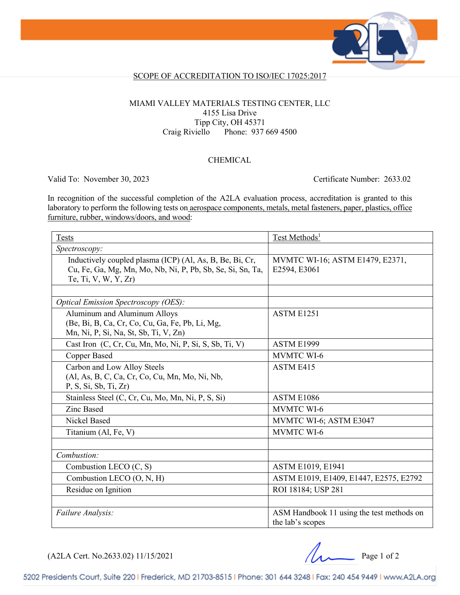

#### SCOPE OF ACCREDITATION TO ISO/IEC 17025:2017

#### MIAMI VALLEY MATERIALS TESTING CENTER, LLC 4155 Lisa Drive Tipp City, OH 45371 Craig Riviello Phone: 937 669 4500

#### CHEMICAL

Valid To: November 30, 2023 Certificate Number: 2633.02

In recognition of the successful completion of the A2LA evaluation process, accreditation is granted to this laboratory to perform the following tests on aerospace components, metals, metal fasteners, paper, plastics, office furniture, rubber, windows/doors, and wood:

| <b>Tests</b>                                                                                                           | Test Methods <sup>1</sup>                       |
|------------------------------------------------------------------------------------------------------------------------|-------------------------------------------------|
| Spectroscopy:                                                                                                          |                                                 |
| Inductively coupled plasma (ICP) (Al, As, B, Be, Bi, Cr,<br>Cu, Fe, Ga, Mg, Mn, Mo, Nb, Ni, P, Pb, Sb, Se, Si, Sn, Ta, | MVMTC WI-16; ASTM E1479, E2371,<br>E2594, E3061 |
| Te, Ti, V, W, Y, Zr)                                                                                                   |                                                 |
|                                                                                                                        |                                                 |
| <b>Optical Emission Spectroscopy (OES):</b>                                                                            |                                                 |
| Aluminum and Aluminum Alloys<br>(Be, Bi, B, Ca, Cr, Co, Cu, Ga, Fe, Pb, Li, Mg,                                        | <b>ASTM E1251</b>                               |
| Mn, Ni, P, Si, Na, St, Sb, Ti, V, Zn)                                                                                  |                                                 |
| Cast Iron (C, Cr, Cu, Mn, Mo, Ni, P, Si, S, Sb, Ti, V)                                                                 | ASTM E1999                                      |
| <b>Copper Based</b>                                                                                                    | <b>MVMTC WI-6</b>                               |
| Carbon and Low Alloy Steels                                                                                            | <b>ASTM E415</b>                                |
| (Al, As, B, C, Ca, Cr, Co, Cu, Mn, Mo, Ni, Nb,<br>P, S, Si, Sb, Ti, Zr                                                 |                                                 |
| Stainless Steel (C, Cr, Cu, Mo, Mn, Ni, P, S, Si)                                                                      | ASTM E1086                                      |
| <b>Zinc Based</b>                                                                                                      | <b>MVMTC WI-6</b>                               |
| Nickel Based                                                                                                           | MVMTC WI-6; ASTM E3047                          |
| Titanium (Al, Fe, V)                                                                                                   | <b>MVMTC WI-6</b>                               |
|                                                                                                                        |                                                 |
| Combustion:                                                                                                            |                                                 |
| Combustion LECO (C, S)                                                                                                 | ASTM E1019, E1941                               |
| Combustion LECO (O, N, H)                                                                                              | ASTM E1019, E1409, E1447, E2575, E2792          |
| Residue on Ignition                                                                                                    | ROI 18184; USP 281                              |
|                                                                                                                        |                                                 |
| Failure Analysis:                                                                                                      | ASM Handbook 11 using the test methods on       |
|                                                                                                                        | the lab's scopes                                |

(A2LA Cert. No.2633.02) 11/15/2021 Page 1 of 2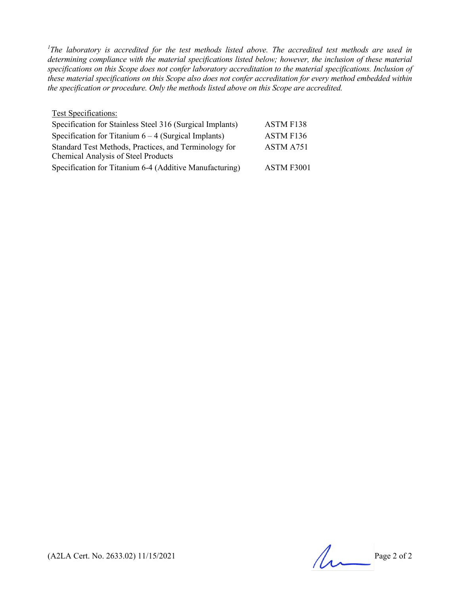<sup>1</sup>The laboratory is accredited for the test methods listed above. The accredited test methods are used in *determining compliance with the material specifications listed below; however, the inclusion of these material specifications on this Scope does not confer laboratory accreditation to the material specifications. Inclusion of these material specifications on this Scope also does not confer accreditation for every method embedded within the specification or procedure. Only the methods listed above on this Scope are accredited.*

| <b>Test Specifications:</b>                               |            |
|-----------------------------------------------------------|------------|
| Specification for Stainless Steel 316 (Surgical Implants) | ASTM F138  |
| Specification for Titanium $6 - 4$ (Surgical Implants)    | ASTM F136  |
| Standard Test Methods, Practices, and Terminology for     | ASTM A751  |
| <b>Chemical Analysis of Steel Products</b>                |            |
| Specification for Titanium 6-4 (Additive Manufacturing)   | ASTM F3001 |

(A2LA Cert. No. 2633.02) 11/15/2021 Page 2 of 2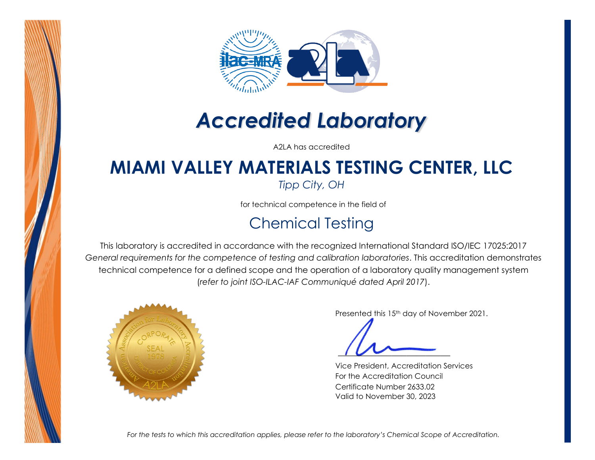



# *Accredited Laboratory*

A2LA has accredited

## **MIAMI VALLEY MATERIALS TESTING CENTER, LLC**

*Tipp City, OH*

for technical competence in the field of

### Chemical Testing

This laboratory is accredited in accordance with the recognized International Standard ISO/IEC 17025:2017 *General requirements for the competence of testing and calibration laboratories*. This accreditation demonstrates technical competence for a defined scope and the operation of a laboratory quality management system (*refer to joint ISO-ILAC-IAF Communiqué dated April 2017*).



Presented this 15<sup>th</sup> day of November 2021.

Vice President, Accreditation Services For the Accreditation Council Certificate Number 2633.02 Valid to November 30, 2023

*For the tests to which this accreditation applies, please refer to the laboratory's Chemical Scope of Accreditation.*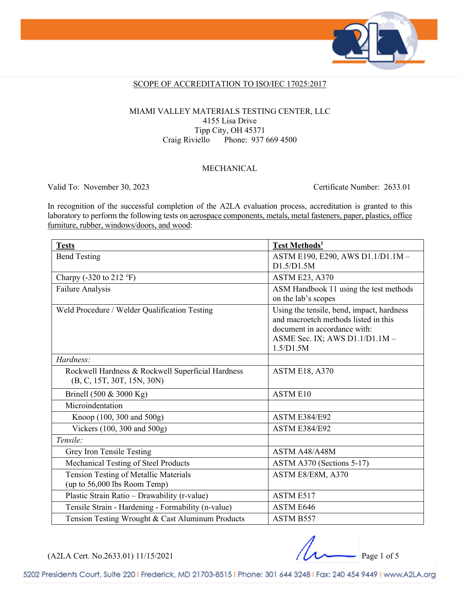

#### SCOPE OF ACCREDITATION TO ISO/IEC 17025:2017

#### MIAMI VALLEY MATERIALS TESTING CENTER, LLC 4155 Lisa Drive Tipp City, OH 45371 Craig Riviello Phone: 937 669 4500

#### MECHANICAL

Valid To: November 30, 2023 Certificate Number: 2633.01

In recognition of the successful completion of the A2LA evaluation process, accreditation is granted to this laboratory to perform the following tests on aerospace components, metals, metal fasteners, paper, plastics, office furniture, rubber, windows/doors, and wood:

| <b>Tests</b>                                                                    | Test Methods <sup>1</sup>                                                                                                                                        |
|---------------------------------------------------------------------------------|------------------------------------------------------------------------------------------------------------------------------------------------------------------|
| <b>Bend Testing</b>                                                             | ASTM E190, E290, AWS D1.1/D1.1M-<br>D1.5/D1.5M                                                                                                                   |
| Charpy (-320 to 212 $\degree$ F)                                                | <b>ASTM E23, A370</b>                                                                                                                                            |
| Failure Analysis                                                                | ASM Handbook 11 using the test methods<br>on the lab's scopes                                                                                                    |
| Weld Procedure / Welder Qualification Testing                                   | Using the tensile, bend, impact, hardness<br>and macroetch methods listed in this<br>document in accordance with:<br>ASME Sec. IX; AWS D1.1/D1.1M -<br>1.5/D1.5M |
| Hardness:                                                                       |                                                                                                                                                                  |
| Rockwell Hardness & Rockwell Superficial Hardness<br>(B, C, 15T, 30T, 15N, 30N) | <b>ASTM E18, A370</b>                                                                                                                                            |
| Brinell (500 & 3000 Kg)                                                         | <b>ASTM E10</b>                                                                                                                                                  |
| Microindentation                                                                |                                                                                                                                                                  |
| Knoop (100, 300 and 500g)                                                       | <b>ASTM E384/E92</b>                                                                                                                                             |
| Vickers (100, 300 and 500g)                                                     | <b>ASTM E384/E92</b>                                                                                                                                             |
| Tensile:                                                                        |                                                                                                                                                                  |
| Grey Iron Tensile Testing                                                       | ASTM A48/A48M                                                                                                                                                    |
| Mechanical Testing of Steel Products                                            | ASTM A370 (Sections 5-17)                                                                                                                                        |
| Tension Testing of Metallic Materials<br>(up to 56,000 lbs Room Temp)           | ASTM E8/E8M, A370                                                                                                                                                |
| Plastic Strain Ratio - Drawability (r-value)                                    | <b>ASTM E517</b>                                                                                                                                                 |
| Tensile Strain - Hardening - Formability (n-value)                              | <b>ASTM E646</b>                                                                                                                                                 |
| Tension Testing Wrought & Cast Aluminum Products                                | ASTM B557                                                                                                                                                        |

(A2LA Cert. No.2633.01) 11/15/2021 Page 1 of 5

5202 Presidents Court, Suite 220 | Frederick, MD 21703-8515 | Phone: 301 644 3248 | Fax: 240 454 9449 | www.A2LA.org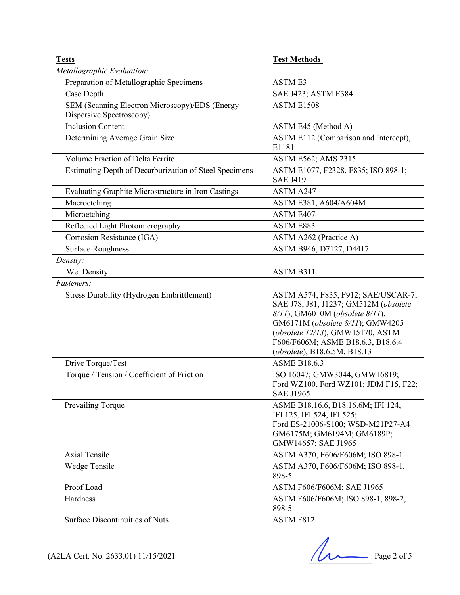| <b>Tests</b>                                                               | Test Methods <sup>1</sup>                                                                                                                                                                                                                                    |  |
|----------------------------------------------------------------------------|--------------------------------------------------------------------------------------------------------------------------------------------------------------------------------------------------------------------------------------------------------------|--|
| Metallographic Evaluation:                                                 |                                                                                                                                                                                                                                                              |  |
| Preparation of Metallographic Specimens                                    | <b>ASTME3</b>                                                                                                                                                                                                                                                |  |
| Case Depth                                                                 | SAE J423; ASTM E384                                                                                                                                                                                                                                          |  |
| SEM (Scanning Electron Microscopy)/EDS (Energy<br>Dispersive Spectroscopy) | ASTM E1508                                                                                                                                                                                                                                                   |  |
| <b>Inclusion Content</b>                                                   | ASTM E45 (Method A)                                                                                                                                                                                                                                          |  |
| Determining Average Grain Size                                             | ASTM E112 (Comparison and Intercept),<br>E1181                                                                                                                                                                                                               |  |
| Volume Fraction of Delta Ferrite                                           | ASTM E562; AMS 2315                                                                                                                                                                                                                                          |  |
| Estimating Depth of Decarburization of Steel Specimens                     | ASTM E1077, F2328, F835; ISO 898-1;<br><b>SAE J419</b>                                                                                                                                                                                                       |  |
| Evaluating Graphite Microstructure in Iron Castings                        | ASTM A247                                                                                                                                                                                                                                                    |  |
| Macroetching                                                               | ASTM E381, A604/A604M                                                                                                                                                                                                                                        |  |
| Microetching                                                               | ASTM E407                                                                                                                                                                                                                                                    |  |
| Reflected Light Photomicrography                                           | ASTM E883                                                                                                                                                                                                                                                    |  |
| Corrosion Resistance (IGA)                                                 | ASTM A262 (Practice A)                                                                                                                                                                                                                                       |  |
| <b>Surface Roughness</b>                                                   | ASTM B946, D7127, D4417                                                                                                                                                                                                                                      |  |
| Density:                                                                   |                                                                                                                                                                                                                                                              |  |
| Wet Density                                                                | ASTM B311                                                                                                                                                                                                                                                    |  |
| Fasteners:                                                                 |                                                                                                                                                                                                                                                              |  |
| <b>Stress Durability (Hydrogen Embrittlement)</b>                          | ASTM A574, F835, F912; SAE/USCAR-7;<br>SAE J78, J81, J1237; GM512M (obsolete<br>8/11), GM6010M (obsolete 8/11),<br>GM6171M (obsolete 8/11); GMW4205<br>(obsolete 12/13), GMW15170, ASTM<br>F606/F606M; ASME B18.6.3, B18.6.4<br>(obsolete), B18.6.5M, B18.13 |  |
| Drive Torque/Test                                                          | <b>ASME B18.6.3</b>                                                                                                                                                                                                                                          |  |
| Torque / Tension / Coefficient of Friction                                 | ISO 16047; GMW3044, GMW16819;<br>Ford WZ100, Ford WZ101; JDM F15, F22;<br><b>SAE J1965</b>                                                                                                                                                                   |  |
| Prevailing Torque                                                          | ASME B18.16.6, B18.16.6M; IFI 124,<br>IFI 125, IFI 524, IFI 525;<br>Ford ES-21006-S100; WSD-M21P27-A4<br>GM6175M; GM6194M; GM6189P;<br>GMW14657; SAE J1965                                                                                                   |  |
| Axial Tensile                                                              | ASTM A370, F606/F606M; ISO 898-1                                                                                                                                                                                                                             |  |
| Wedge Tensile                                                              | ASTM A370, F606/F606M; ISO 898-1,<br>898-5                                                                                                                                                                                                                   |  |
| Proof Load                                                                 | ASTM F606/F606M; SAE J1965                                                                                                                                                                                                                                   |  |
| Hardness                                                                   | ASTM F606/F606M; ISO 898-1, 898-2,<br>898-5                                                                                                                                                                                                                  |  |
| <b>Surface Discontinuities of Nuts</b>                                     | ASTM F812                                                                                                                                                                                                                                                    |  |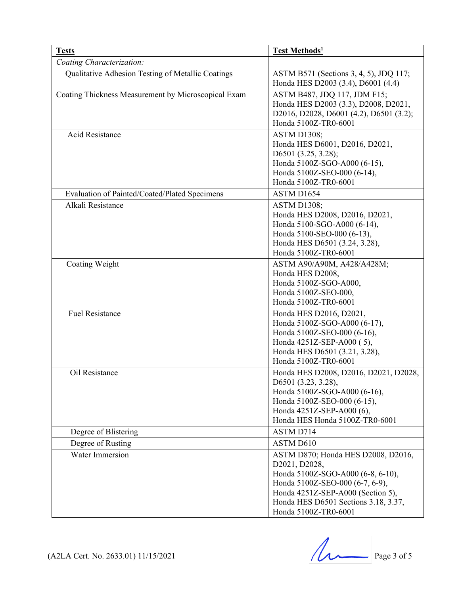| <b>Tests</b>                                        | <b>Test Methods1</b>                                                                                                                                                                                                             |
|-----------------------------------------------------|----------------------------------------------------------------------------------------------------------------------------------------------------------------------------------------------------------------------------------|
| Coating Characterization:                           |                                                                                                                                                                                                                                  |
| Qualitative Adhesion Testing of Metallic Coatings   | ASTM B571 (Sections 3, 4, 5), JDQ 117;<br>Honda HES D2003 (3.4), D6001 (4.4)                                                                                                                                                     |
| Coating Thickness Measurement by Microscopical Exam | ASTM B487, JDQ 117, JDM F15;<br>Honda HES D2003 (3.3), D2008, D2021,<br>D2016, D2028, D6001 (4.2), D6501 (3.2);<br>Honda 5100Z-TR0-6001                                                                                          |
| <b>Acid Resistance</b>                              | <b>ASTM D1308;</b><br>Honda HES D6001, D2016, D2021,<br>D6501 (3.25, 3.28);<br>Honda 5100Z-SGO-A000 (6-15),<br>Honda 5100Z-SEO-000 (6-14),<br>Honda 5100Z-TR0-6001                                                               |
| Evaluation of Painted/Coated/Plated Specimens       | ASTM D1654                                                                                                                                                                                                                       |
| Alkali Resistance                                   | <b>ASTM D1308;</b><br>Honda HES D2008, D2016, D2021,<br>Honda 5100-SGO-A000 (6-14),<br>Honda 5100-SEO-000 (6-13),<br>Honda HES D6501 (3.24, 3.28),<br>Honda 5100Z-TR0-6001                                                       |
| Coating Weight                                      | ASTM A90/A90M, A428/A428M;<br>Honda HES D2008,<br>Honda 5100Z-SGO-A000,<br>Honda 5100Z-SEO-000,<br>Honda 5100Z-TR0-6001                                                                                                          |
| <b>Fuel Resistance</b>                              | Honda HES D2016, D2021,<br>Honda 5100Z-SGO-A000 (6-17),<br>Honda 5100Z-SEO-000 (6-16),<br>Honda 4251Z-SEP-A000 (5),<br>Honda HES D6501 (3.21, 3.28),<br>Honda 5100Z-TR0-6001                                                     |
| Oil Resistance                                      | Honda HES D2008, D2016, D2021, D2028,<br>D6501 (3.23, 3.28),<br>Honda 5100Z-SGO-A000 (6-16),<br>Honda 5100Z-SEO-000 (6-15),<br>Honda 4251Z-SEP-A000 (6),<br>Honda HES Honda 5100Z-TR0-6001                                       |
| Degree of Blistering                                | ASTM D714                                                                                                                                                                                                                        |
| Degree of Rusting                                   | ASTM D610                                                                                                                                                                                                                        |
| <b>Water Immersion</b>                              | ASTM D870; Honda HES D2008, D2016,<br>D2021, D2028,<br>Honda 5100Z-SGO-A000 (6-8, 6-10),<br>Honda 5100Z-SEO-000 (6-7, 6-9),<br>Honda 4251Z-SEP-A000 (Section 5),<br>Honda HES D6501 Sections 3.18, 3.37,<br>Honda 5100Z-TR0-6001 |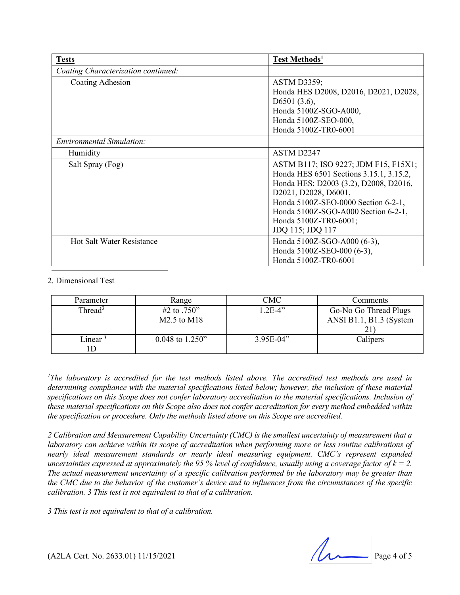| <b>Tests</b>                        | Test Methods <sup>1</sup>               |
|-------------------------------------|-----------------------------------------|
| Coating Characterization continued: |                                         |
| Coating Adhesion                    | <b>ASTM D3359;</b>                      |
|                                     | Honda HES D2008, D2016, D2021, D2028,   |
|                                     | D6501 $(3.6)$ ,                         |
|                                     | Honda 5100Z-SGO-A000,                   |
|                                     | Honda 5100Z-SEO-000,                    |
|                                     | Honda 5100Z-TR0-6001                    |
| <b>Environmental Simulation:</b>    |                                         |
| Humidity                            | ASTM D2247                              |
| Salt Spray (Fog)                    | ASTM B117; ISO 9227; JDM F15, F15X1;    |
|                                     | Honda HES 6501 Sections 3.15.1, 3.15.2, |
|                                     | Honda HES: D2003 (3.2), D2008, D2016,   |
|                                     | D2021, D2028, D6001,                    |
|                                     | Honda 5100Z-SEO-0000 Section 6-2-1,     |
|                                     | Honda 5100Z-SGO-A000 Section 6-2-1,     |
|                                     | Honda 5100Z-TR0-6001;                   |
|                                     | JDQ 115; JDQ 117                        |
| <b>Hot Salt Water Resistance</b>    | Honda 5100Z-SGO-A000 (6-3),             |
|                                     | Honda 5100Z-SEO-000 (6-3),              |
|                                     | Honda 5100Z-TR0-6001                    |

#### 2. Dimensional Test

| Parameter                       | Range             | CMC         | Comments                |
|---------------------------------|-------------------|-------------|-------------------------|
| Thread <sup>3</sup>             | #2 to $.750"$     | $1.2E-4"$   | Go-No Go Thread Plugs   |
|                                 | M2.5 to M18       |             | ANSI B1.1, B1.3 (System |
|                                 |                   |             | $\sim$ 1                |
| $\mathbf{L}$ inear $\mathbf{r}$ | $0.048$ to 1.250" | $3.95E-04"$ | Calipers                |
|                                 |                   |             |                         |

<sup>1</sup>The laboratory is accredited for the test methods listed above. The accredited test methods are used in *determining compliance with the material specifications listed below; however, the inclusion of these material*  specifications on this Scope does not confer laboratory accreditation to the material specifications. Inclusion of *these material specifications on this Scope also does not confer accreditation for every method embedded within the specification or procedure. Only the methods listed above on this Scope are accredited.*

*2 Calibration and Measurement Capability Uncertainty (CMC) is the smallest uncertainty of measurement that a laboratory can achieve within its scope of accreditation when performing more or less routine calibrations of nearly ideal measurement standards or nearly ideal measuring equipment. CMC's represent expanded uncertainties expressed at approximately the 95 % level of confidence, usually using a coverage factor of*  $k = 2$ *. The actual measurement uncertainty of a specific calibration performed by the laboratory may be greater than the CMC due to the behavior of the customer's device and to influences from the circumstances of the specific calibration. 3 This test is not equivalent to that of a calibration.*

*3 This test is not equivalent to that of a calibration.*

 $(A2LA$  Cert. No. 2633.01) 11/15/2021 Page 4 of 5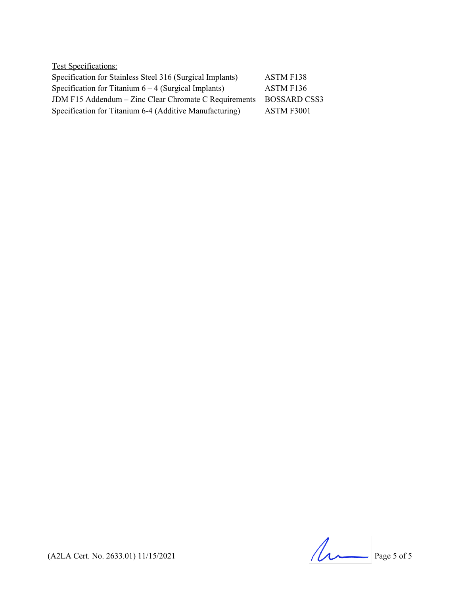| <b>Test Specifications:</b>                               |                  |
|-----------------------------------------------------------|------------------|
| Specification for Stainless Steel 316 (Surgical Implants) | <b>ASTM F138</b> |
| Specification for Titanium $6 - 4$ (Surgical Implants)    | ASTM F136        |
| JDM F15 Addendum - Zinc Clear Chromate C Requirements     | BOSSARD CSS3     |
| Specification for Titanium 6-4 (Additive Manufacturing)   | ASTM F3001       |

(A2LA Cert. No. 2633.01) 11/15/2021 Page 5 of 5